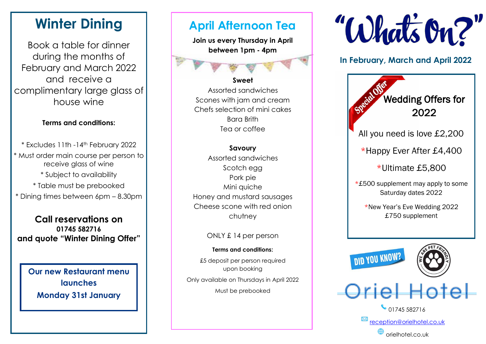# **Winter Dining**

Book a table for dinner during the months of February and March 2022 and receive a complimentary large glass of house wine

## **Terms and conditions:**

\* Excludes 11th -14th February 2022 \* Must order main course per person to receive glass of wine \* Subject to availability \* Table must be prebooked

\* Dining times between 6pm – 8.30pm

**Call reservations on 01745 582716 and quote "Winter Dining Offer"**

**Our new Restaurant menu launches Monday 31st January**

# **April Afternoon Tea**

**Join us every Thursday in April between 1pm - 4pm**

## **Sweet**

Assorted sandwiches Scones with jam and cream Chefs selection of mini cakes Bara Brith Tea or coffee

### **Savoury**

Assorted sandwiches Scotch egg Pork pie Mini quiche Honey and mustard sausages Cheese scone with red onion chutney

## ONLY £ 14 per person

### **Terms and conditions:**

£5 deposit per person required upon booking

Only available on Thursdays in April 2022 Must be prebooked



# **In February, March and April 2022**

| Specialter<br><b>Wedding Offers for</b><br>2022           |
|-----------------------------------------------------------|
| All you need is love £2,200                               |
| *Happy Ever After £4,400                                  |
| *Ultimate £5,800                                          |
| *£500 supplement may apply to some<br>Saturday dates 2022 |
| *New Year's Eve Wedding 2022<br>£750 supplement           |
| <b>DID YOU KNOW?</b>                                      |
| Oriel Hotel                                               |
| 01745 582716                                              |
| reception@orielhotel.co.uk                                |
| orielhotel.co.uk                                          |